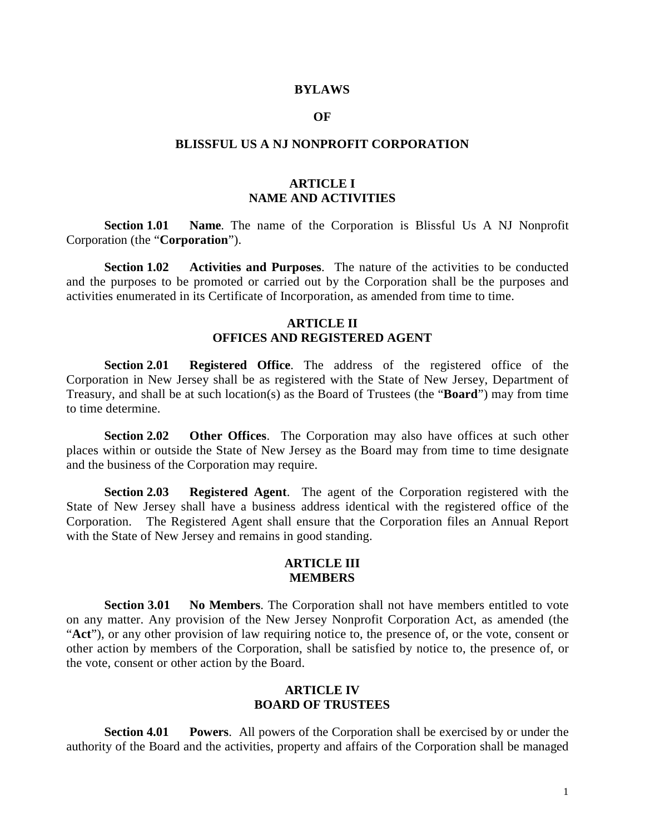#### **BYLAWS**

#### **OF**

#### **BLISSFUL US A NJ NONPROFIT CORPORATION**

# **ARTICLE I NAME AND ACTIVITIES**

**Section 1.01 Name**. The name of the Corporation is Blissful Us A NJ Nonprofit Corporation (the "**Corporation**").

**Section 1.02 Activities and Purposes**. The nature of the activities to be conducted and the purposes to be promoted or carried out by the Corporation shall be the purposes and activities enumerated in its Certificate of Incorporation, as amended from time to time.

## **ARTICLE II OFFICES AND REGISTERED AGENT**

**Section 2.01 Registered Office**. The address of the registered office of the Corporation in New Jersey shall be as registered with the State of New Jersey, Department of Treasury, and shall be at such location(s) as the Board of Trustees (the "**Board**") may from time to time determine.

**Section 2.02 Other Offices**. The Corporation may also have offices at such other places within or outside the State of New Jersey as the Board may from time to time designate and the business of the Corporation may require.

**Section 2.03 Registered Agent**. The agent of the Corporation registered with the State of New Jersey shall have a business address identical with the registered office of the Corporation. The Registered Agent shall ensure that the Corporation files an Annual Report with the State of New Jersey and remains in good standing.

### **ARTICLE III MEMBERS**

**Section 3.01 No Members**. The Corporation shall not have members entitled to vote on any matter. Any provision of the New Jersey Nonprofit Corporation Act, as amended (the "**Act**"), or any other provision of law requiring notice to, the presence of, or the vote, consent or other action by members of the Corporation, shall be satisfied by notice to, the presence of, or the vote, consent or other action by the Board.

## **ARTICLE IV BOARD OF TRUSTEES**

**Section 4.01 Powers**. All powers of the Corporation shall be exercised by or under the authority of the Board and the activities, property and affairs of the Corporation shall be managed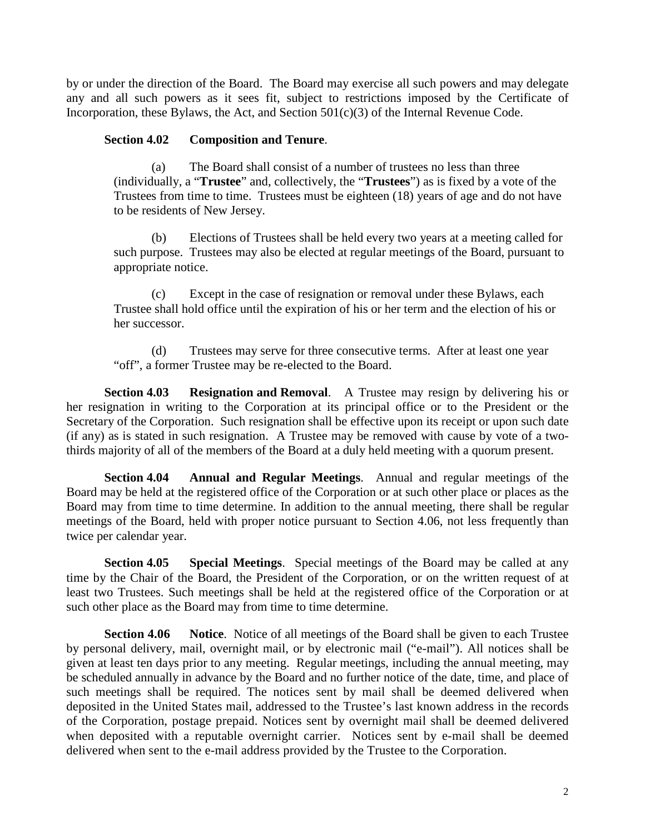by or under the direction of the Board. The Board may exercise all such powers and may delegate any and all such powers as it sees fit, subject to restrictions imposed by the Certificate of Incorporation, these Bylaws, the Act, and Section 501(c)(3) of the Internal Revenue Code.

# **Section 4.02 Composition and Tenure**.

(a) The Board shall consist of a number of trustees no less than three (individually, a "**Trustee**" and, collectively, the "**Trustees**") as is fixed by a vote of the Trustees from time to time. Trustees must be eighteen (18) years of age and do not have to be residents of New Jersey.

(b) Elections of Trustees shall be held every two years at a meeting called for such purpose. Trustees may also be elected at regular meetings of the Board, pursuant to appropriate notice.

(c) Except in the case of resignation or removal under these Bylaws, each Trustee shall hold office until the expiration of his or her term and the election of his or her successor.

(d) Trustees may serve for three consecutive terms. After at least one year "off", a former Trustee may be re-elected to the Board.

**Section 4.03 Resignation and Removal**. A Trustee may resign by delivering his or her resignation in writing to the Corporation at its principal office or to the President or the Secretary of the Corporation. Such resignation shall be effective upon its receipt or upon such date (if any) as is stated in such resignation. A Trustee may be removed with cause by vote of a twothirds majority of all of the members of the Board at a duly held meeting with a quorum present.

**Section 4.04 Annual and Regular Meetings**. Annual and regular meetings of the Board may be held at the registered office of the Corporation or at such other place or places as the Board may from time to time determine. In addition to the annual meeting, there shall be regular meetings of the Board, held with proper notice pursuant to Section 4.06, not less frequently than twice per calendar year.

**Section 4.05 Special Meetings**. Special meetings of the Board may be called at any time by the Chair of the Board, the President of the Corporation, or on the written request of at least two Trustees. Such meetings shall be held at the registered office of the Corporation or at such other place as the Board may from time to time determine.

**Section 4.06 Notice**. Notice of all meetings of the Board shall be given to each Trustee by personal delivery, mail, overnight mail, or by electronic mail ("e-mail"). All notices shall be given at least ten days prior to any meeting. Regular meetings, including the annual meeting, may be scheduled annually in advance by the Board and no further notice of the date, time, and place of such meetings shall be required. The notices sent by mail shall be deemed delivered when deposited in the United States mail, addressed to the Trustee's last known address in the records of the Corporation, postage prepaid. Notices sent by overnight mail shall be deemed delivered when deposited with a reputable overnight carrier. Notices sent by e-mail shall be deemed delivered when sent to the e-mail address provided by the Trustee to the Corporation.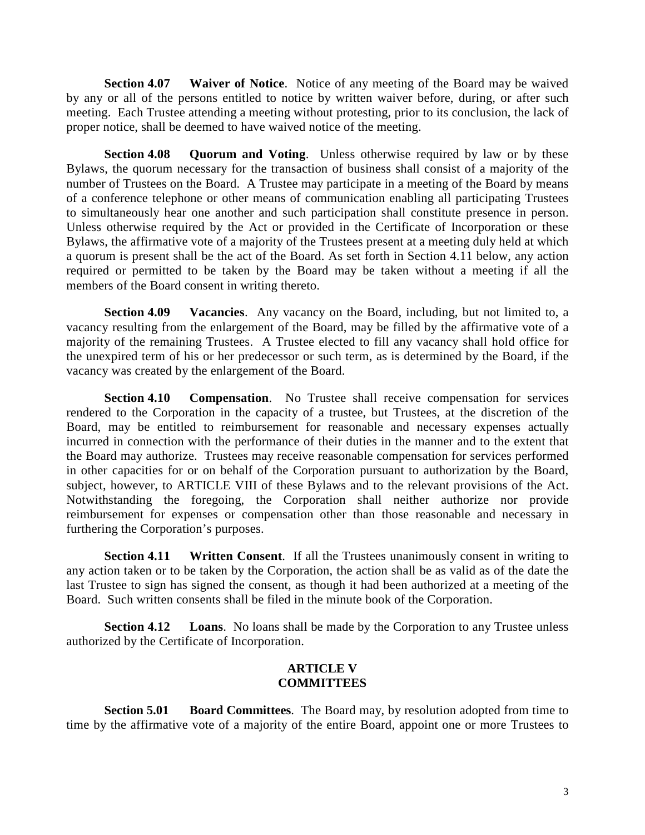**Section 4.07 Waiver of Notice**. Notice of any meeting of the Board may be waived by any or all of the persons entitled to notice by written waiver before, during, or after such meeting. Each Trustee attending a meeting without protesting, prior to its conclusion, the lack of proper notice, shall be deemed to have waived notice of the meeting.

**Section 4.08 Quorum and Voting**. Unless otherwise required by law or by these Bylaws, the quorum necessary for the transaction of business shall consist of a majority of the number of Trustees on the Board. A Trustee may participate in a meeting of the Board by means of a conference telephone or other means of communication enabling all participating Trustees to simultaneously hear one another and such participation shall constitute presence in person. Unless otherwise required by the Act or provided in the Certificate of Incorporation or these Bylaws, the affirmative vote of a majority of the Trustees present at a meeting duly held at which a quorum is present shall be the act of the Board. As set forth in Section 4.11 below, any action required or permitted to be taken by the Board may be taken without a meeting if all the members of the Board consent in writing thereto.

**Section 4.09 Vacancies**. Any vacancy on the Board, including, but not limited to, a vacancy resulting from the enlargement of the Board, may be filled by the affirmative vote of a majority of the remaining Trustees. A Trustee elected to fill any vacancy shall hold office for the unexpired term of his or her predecessor or such term, as is determined by the Board, if the vacancy was created by the enlargement of the Board.

**Section 4.10 Compensation**. No Trustee shall receive compensation for services rendered to the Corporation in the capacity of a trustee, but Trustees, at the discretion of the Board, may be entitled to reimbursement for reasonable and necessary expenses actually incurred in connection with the performance of their duties in the manner and to the extent that the Board may authorize. Trustees may receive reasonable compensation for services performed in other capacities for or on behalf of the Corporation pursuant to authorization by the Board, subject, however, to ARTICLE VIII of these Bylaws and to the relevant provisions of the Act. Notwithstanding the foregoing, the Corporation shall neither authorize nor provide reimbursement for expenses or compensation other than those reasonable and necessary in furthering the Corporation's purposes.

**Section 4.11 Written Consent**. If all the Trustees unanimously consent in writing to any action taken or to be taken by the Corporation, the action shall be as valid as of the date the last Trustee to sign has signed the consent, as though it had been authorized at a meeting of the Board. Such written consents shall be filed in the minute book of the Corporation.

**Section 4.12 Loans**. No loans shall be made by the Corporation to any Trustee unless authorized by the Certificate of Incorporation.

## **ARTICLE V COMMITTEES**

**Section 5.01 Board Committees**. The Board may, by resolution adopted from time to time by the affirmative vote of a majority of the entire Board, appoint one or more Trustees to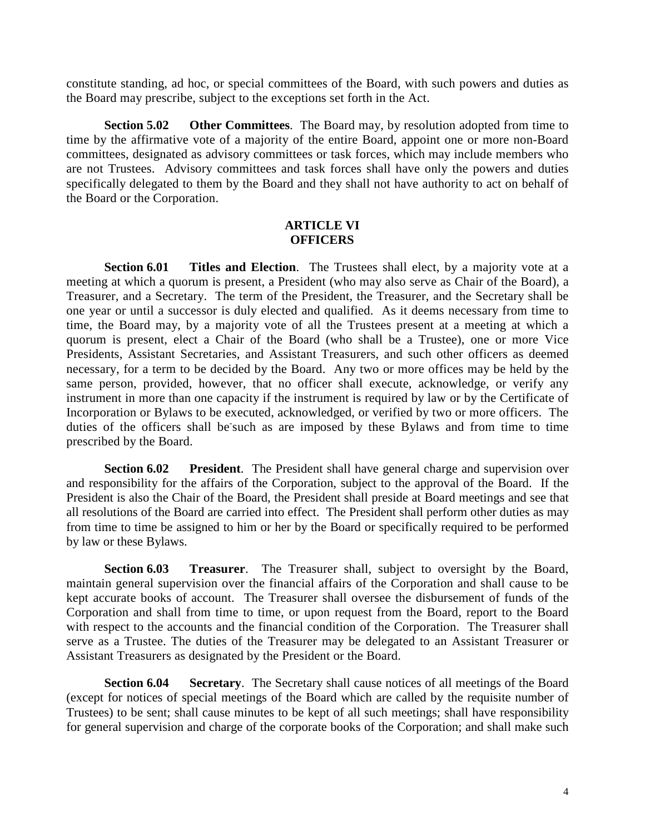constitute standing, ad hoc, or special committees of the Board, with such powers and duties as the Board may prescribe, subject to the exceptions set forth in the Act.

**Section 5.02 Other Committees**. The Board may, by resolution adopted from time to time by the affirmative vote of a majority of the entire Board, appoint one or more non-Board committees, designated as advisory committees or task forces, which may include members who are not Trustees. Advisory committees and task forces shall have only the powers and duties specifically delegated to them by the Board and they shall not have authority to act on behalf of the Board or the Corporation.

### **ARTICLE VI OFFICERS**

**Section 6.01 Titles and Election**. The Trustees shall elect, by a majority vote at a meeting at which a quorum is present, a President (who may also serve as Chair of the Board), a Treasurer, and a Secretary. The term of the President, the Treasurer, and the Secretary shall be one year or until a successor is duly elected and qualified. As it deems necessary from time to time, the Board may, by a majority vote of all the Trustees present at a meeting at which a quorum is present, elect a Chair of the Board (who shall be a Trustee), one or more Vice Presidents, Assistant Secretaries, and Assistant Treasurers, and such other officers as deemed necessary, for a term to be decided by the Board. Any two or more offices may be held by the same person, provided, however, that no officer shall execute, acknowledge, or verify any instrument in more than one capacity if the instrument is required by law or by the Certificate of Incorporation or Bylaws to be executed, acknowledged, or verified by two or more officers. The duties of the officers shall be-such as are imposed by these Bylaws and from time to time prescribed by the Board.

**Section 6.02 President**. The President shall have general charge and supervision over and responsibility for the affairs of the Corporation, subject to the approval of the Board. If the President is also the Chair of the Board, the President shall preside at Board meetings and see that all resolutions of the Board are carried into effect. The President shall perform other duties as may from time to time be assigned to him or her by the Board or specifically required to be performed by law or these Bylaws.

**Section 6.03 Treasurer**. The Treasurer shall, subject to oversight by the Board, maintain general supervision over the financial affairs of the Corporation and shall cause to be kept accurate books of account. The Treasurer shall oversee the disbursement of funds of the Corporation and shall from time to time, or upon request from the Board, report to the Board with respect to the accounts and the financial condition of the Corporation. The Treasurer shall serve as a Trustee. The duties of the Treasurer may be delegated to an Assistant Treasurer or Assistant Treasurers as designated by the President or the Board.

**Section 6.04 Secretary**. The Secretary shall cause notices of all meetings of the Board (except for notices of special meetings of the Board which are called by the requisite number of Trustees) to be sent; shall cause minutes to be kept of all such meetings; shall have responsibility for general supervision and charge of the corporate books of the Corporation; and shall make such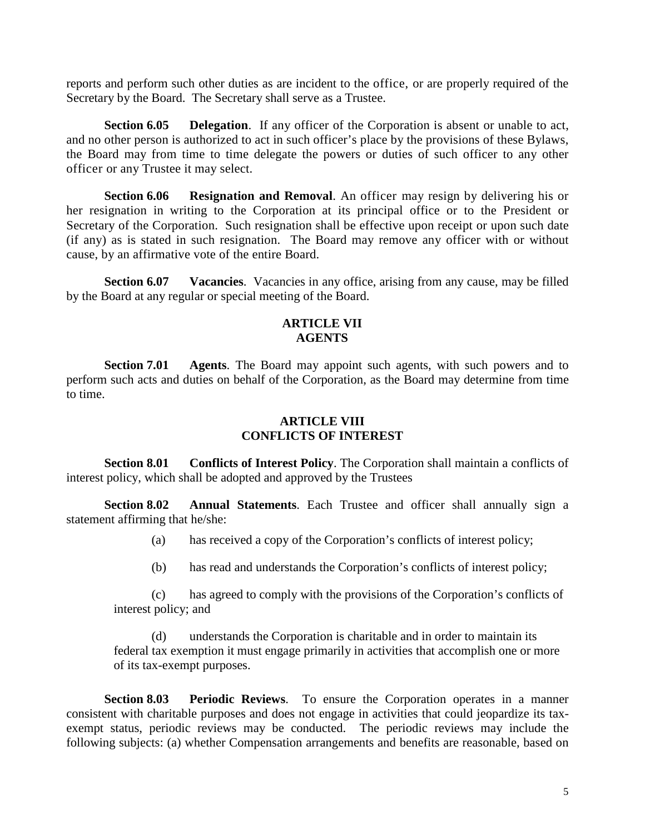reports and perform such other duties as are incident to the office, or are properly required of the Secretary by the Board. The Secretary shall serve as a Trustee.

**Section 6.05 Delegation**. If any officer of the Corporation is absent or unable to act, and no other person is authorized to act in such officer's place by the provisions of these Bylaws, the Board may from time to time delegate the powers or duties of such officer to any other officer or any Trustee it may select.

**Section 6.06 Resignation and Removal**. An officer may resign by delivering his or her resignation in writing to the Corporation at its principal office or to the President or Secretary of the Corporation. Such resignation shall be effective upon receipt or upon such date (if any) as is stated in such resignation. The Board may remove any officer with or without cause, by an affirmative vote of the entire Board.

**Section 6.07 Vacancies**. Vacancies in any office, arising from any cause, may be filled by the Board at any regular or special meeting of the Board.

## **ARTICLE VII AGENTS**

**Section 7.01 Agents**. The Board may appoint such agents, with such powers and to perform such acts and duties on behalf of the Corporation, as the Board may determine from time to time.

# **ARTICLE VIII CONFLICTS OF INTEREST**

**Section 8.01 Conflicts of Interest Policy**. The Corporation shall maintain a conflicts of interest policy, which shall be adopted and approved by the Trustees

**Section 8.02 Annual Statements**. Each Trustee and officer shall annually sign a statement affirming that he/she:

- (a) has received a copy of the Corporation's conflicts of interest policy;
- (b) has read and understands the Corporation's conflicts of interest policy;

(c) has agreed to comply with the provisions of the Corporation's conflicts of interest policy; and

(d) understands the Corporation is charitable and in order to maintain its federal tax exemption it must engage primarily in activities that accomplish one or more of its tax-exempt purposes.

**Section 8.03 Periodic Reviews**. To ensure the Corporation operates in a manner consistent with charitable purposes and does not engage in activities that could jeopardize its taxexempt status, periodic reviews may be conducted. The periodic reviews may include the following subjects: (a) whether Compensation arrangements and benefits are reasonable, based on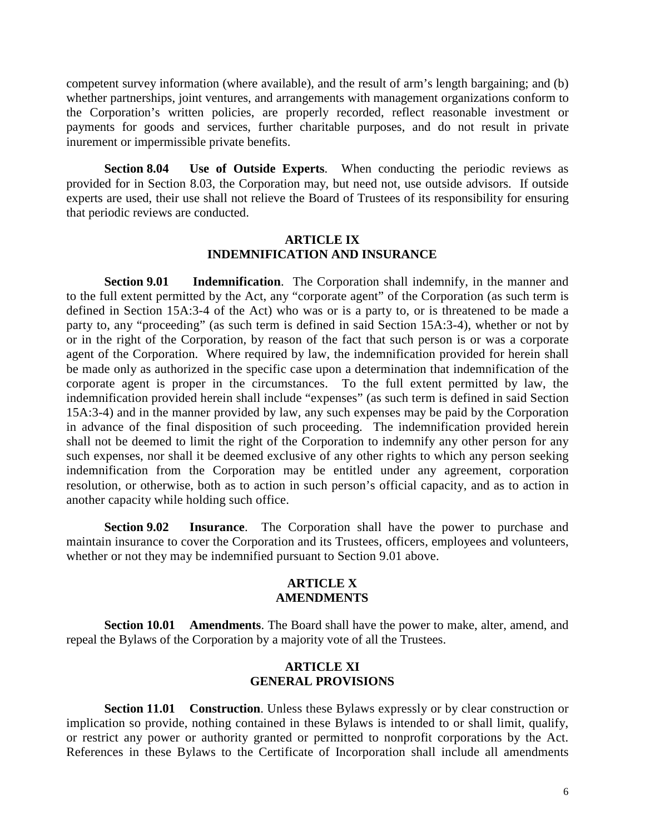competent survey information (where available), and the result of arm's length bargaining; and (b) whether partnerships, joint ventures, and arrangements with management organizations conform to the Corporation's written policies, are properly recorded, reflect reasonable investment or payments for goods and services, further charitable purposes, and do not result in private inurement or impermissible private benefits.

**Section 8.04 Use of Outside Experts**. When conducting the periodic reviews as provided for in Section 8.03, the Corporation may, but need not, use outside advisors. If outside experts are used, their use shall not relieve the Board of Trustees of its responsibility for ensuring that periodic reviews are conducted.

# **ARTICLE IX INDEMNIFICATION AND INSURANCE**

**Section 9.01 Indemnification**. The Corporation shall indemnify, in the manner and to the full extent permitted by the Act, any "corporate agent" of the Corporation (as such term is defined in Section 15A:3-4 of the Act) who was or is a party to, or is threatened to be made a party to, any "proceeding" (as such term is defined in said Section 15A:3-4), whether or not by or in the right of the Corporation, by reason of the fact that such person is or was a corporate agent of the Corporation. Where required by law, the indemnification provided for herein shall be made only as authorized in the specific case upon a determination that indemnification of the corporate agent is proper in the circumstances. To the full extent permitted by law, the indemnification provided herein shall include "expenses" (as such term is defined in said Section 15A:3-4) and in the manner provided by law, any such expenses may be paid by the Corporation in advance of the final disposition of such proceeding. The indemnification provided herein shall not be deemed to limit the right of the Corporation to indemnify any other person for any such expenses, nor shall it be deemed exclusive of any other rights to which any person seeking indemnification from the Corporation may be entitled under any agreement, corporation resolution, or otherwise, both as to action in such person's official capacity, and as to action in another capacity while holding such office.

**Section 9.02 Insurance**. The Corporation shall have the power to purchase and maintain insurance to cover the Corporation and its Trustees, officers, employees and volunteers, whether or not they may be indemnified pursuant to Section 9.01 above.

### **ARTICLE X AMENDMENTS**

**Section 10.01 Amendments**. The Board shall have the power to make, alter, amend, and repeal the Bylaws of the Corporation by a majority vote of all the Trustees.

# **ARTICLE XI GENERAL PROVISIONS**

**Section 11.01 Construction**. Unless these Bylaws expressly or by clear construction or implication so provide, nothing contained in these Bylaws is intended to or shall limit, qualify, or restrict any power or authority granted or permitted to nonprofit corporations by the Act. References in these Bylaws to the Certificate of Incorporation shall include all amendments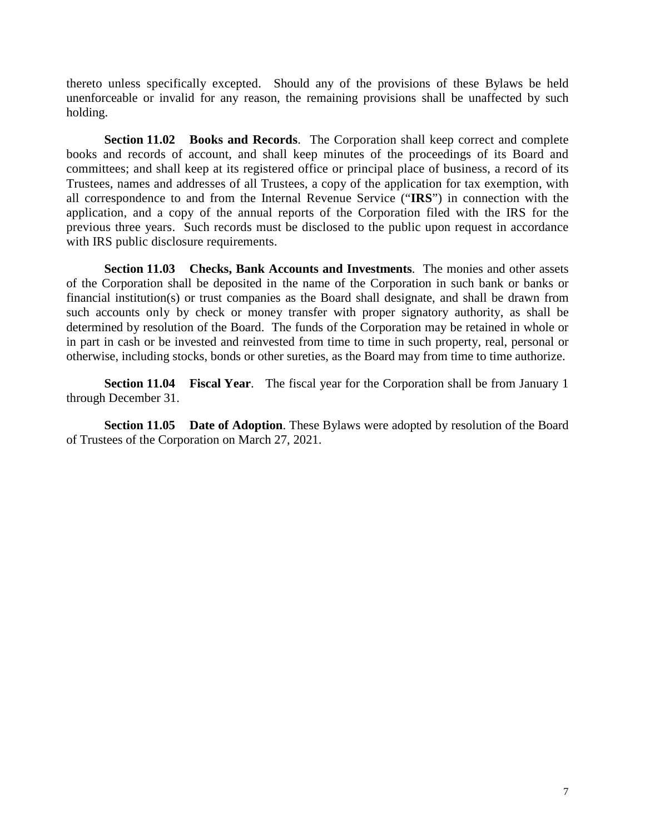thereto unless specifically excepted. Should any of the provisions of these Bylaws be held unenforceable or invalid for any reason, the remaining provisions shall be unaffected by such holding.

**Section 11.02 Books and Records**. The Corporation shall keep correct and complete books and records of account, and shall keep minutes of the proceedings of its Board and committees; and shall keep at its registered office or principal place of business, a record of its Trustees, names and addresses of all Trustees, a copy of the application for tax exemption, with all correspondence to and from the Internal Revenue Service ("**IRS**") in connection with the application, and a copy of the annual reports of the Corporation filed with the IRS for the previous three years. Such records must be disclosed to the public upon request in accordance with IRS public disclosure requirements.

**Section 11.03 Checks, Bank Accounts and Investments**. The monies and other assets of the Corporation shall be deposited in the name of the Corporation in such bank or banks or financial institution(s) or trust companies as the Board shall designate, and shall be drawn from such accounts only by check or money transfer with proper signatory authority, as shall be determined by resolution of the Board. The funds of the Corporation may be retained in whole or in part in cash or be invested and reinvested from time to time in such property, real, personal or otherwise, including stocks, bonds or other sureties, as the Board may from time to time authorize.

**Section 11.04 Fiscal Year**. The fiscal year for the Corporation shall be from January 1 through December 31.

**Section 11.05 Date of Adoption**. These Bylaws were adopted by resolution of the Board of Trustees of the Corporation on March 27, 2021.